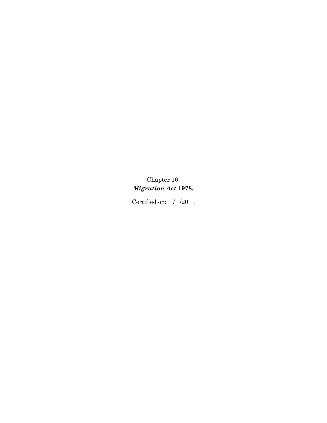# Chapter 16. *Migration Act* **1978***.*

Certified on:  $\;$  /  $\;$  /20  $\;$  .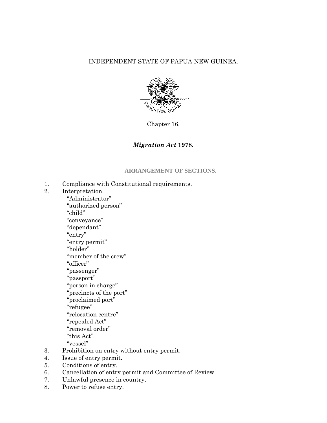# INDEPENDENT STATE OF PAPUA NEW GUINEA.



Chapter 16.

# *Migration Act* **1978***.*

### **ARRANGEMENT OF SECTIONS.**

- 1. Compliance with Constitutional requirements.
- 2. Interpretation.
- "Administrator" "authorized person" "child" "conveyance" "dependant" "entry" "entry permit" "holder" "member of the crew" "officer" "passenger" "passport" "person in charge" "precincts of the port" "proclaimed port" "refugee" "relocation centre" "repealed Act" "removal order" "this Act" "vessel" 3. Prohibition on entry without entry permit.
- 4. Issue of entry permit.
- 5. Conditions of entry.
- 6. Cancellation of entry permit and Committee of Review.
- 7. Unlawful presence in country.
- 8. Power to refuse entry.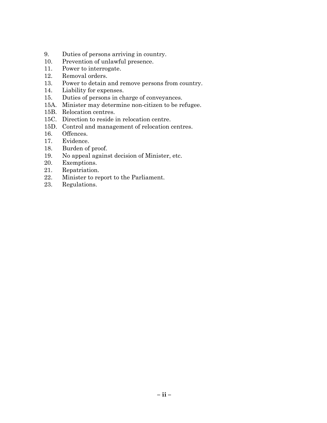- 9. Duties of persons arriving in country.
- 10. Prevention of unlawful presence.
- 11. Power to interrogate.
- 12. Removal orders.
- 13. Power to detain and remove persons from country.
- 14. Liability for expenses.
- 15. Duties of persons in charge of conveyances.
- 15A. Minister may determine non-citizen to be refugee.
- 15B. Relocation centres.
- 15C. Direction to reside in relocation centre.
- 15D. Control and management of relocation centres.
- 16. Offences.
- 17. Evidence.
- 18. Burden of proof.
- 19. No appeal against decision of Minister, etc.
- 20. Exemptions.
- 21. Repatriation.
- 22. Minister to report to the Parliament.
- 23. Regulations.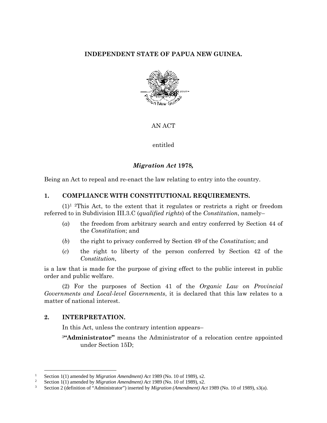# **INDEPENDENT STATE OF PAPUA NEW GUINEA.**



AN ACT

entitled

# *Migration Act* **1978***,*

Being an Act to repeal and re-enact the law relating to entry into the country.

### **1. COMPLIANCE WITH CONSTITUTIONAL REQUIREMENTS.**

 $(1)^{1}$  <sup>2</sup>This Act, to the extent that it regulates or restricts a right or freedom referred to in Subdivision III.3.C (*qualified rights*) of the *Constitution*, namely–

- (*a*) the freedom from arbitrary search and entry conferred by Section 44 of the *Constitution*; and
- (*b*) the right to privacy conferred by Section 49 of the *Constitution*; and
- (*c*) the right to liberty of the person conferred by Section 42 of the *Constitution*,

is a law that is made for the purpose of giving effect to the public interest in public order and public welfare.

(2) For the purposes of Section 41 of the *Organic Law on Provincial Governments and Local-level Governments*, it is declared that this law relates to a matter of national interest.

### **2. INTERPRETATION.**

 $\overline{a}$ 

In this Act, unless the contrary intention appears–

<sup>3</sup>**"Administrator"** means the Administrator of a relocation centre appointed under Section 15D;

<sup>1</sup> Section 1(1) amended by *Migration Amendment) Act* 1989 (No. 10 of 1989), s2.

<sup>&</sup>lt;sup>2</sup> Section 1(1) amended by *Migration Amendment*) *Act* 1989 (No. 10 of 1989), s2.

<sup>3</sup> Section 2 (definition of "Administrator") inserted by *Migration (Amendment) Act* 1989 (No. 10 of 1989), s3(a).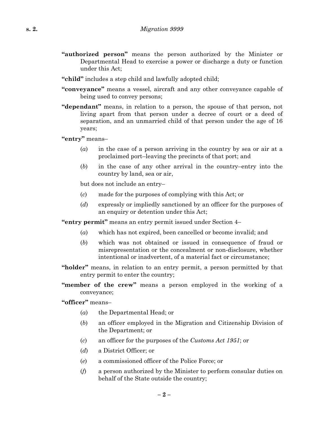- **"authorized person"** means the person authorized by the Minister or Departmental Head to exercise a power or discharge a duty or function under this Act;
- **"child"** includes a step child and lawfully adopted child;
- **"conveyance"** means a vessel, aircraft and any other conveyance capable of being used to convey persons;
- **"dependant"** means, in relation to a person, the spouse of that person, not living apart from that person under a decree of court or a deed of separation, and an unmarried child of that person under the age of 16 years;

**"entry"** means–

- (*a*) in the case of a person arriving in the country by sea or air at a proclaimed port–leaving the precincts of that port; and
- (*b*) in the case of any other arrival in the country–entry into the country by land, sea or air,

but does not include an entry–

- (*c*) made for the purposes of complying with this Act; or
- (*d*) expressly or impliedly sanctioned by an officer for the purposes of an enquiry or detention under this Act;

**"entry permit"** means an entry permit issued under Section 4–

- (*a*) which has not expired, been cancelled or become invalid; and
- (*b*) which was not obtained or issued in consequence of fraud or misrepresentation or the concealment or non-disclosure, whether intentional or inadvertent, of a material fact or circumstance;
- **"holder"** means, in relation to an entry permit, a person permitted by that entry permit to enter the country;
- **"member of the crew"** means a person employed in the working of a conveyance;

**"officer"** means–

- (*a*) the Departmental Head; or
- (*b*) an officer employed in the Migration and Citizenship Division of the Department; or
- (*c*) an officer for the purposes of the *Customs Act 1951*; or
- (*d*) a District Officer; or
- (*e*) a commissioned officer of the Police Force; or
- (*f*) a person authorized by the Minister to perform consular duties on behalf of the State outside the country;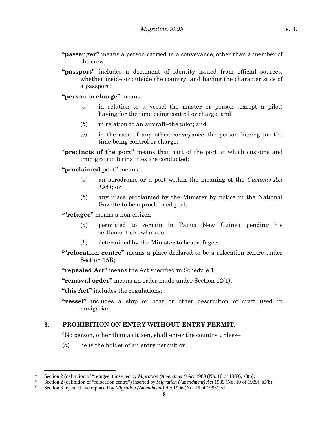- **"passenger"** means a person carried in a conveyance, other than a member of the crew;
- **"passport"** includes a document of identity issued from official sources, whether inside or outside the country, and having the characteristics of a passport;

**"person in charge"** means–

- (*a*) in relation to a vessel–the master or person (except a pilot) having for the time being control or charge; and
- (*b*) in relation to an aircraft–the pilot; and
- (*c*) in the case of any other conveyance–the person having for the time being control or charge;

**"precincts of the port"** means that part of the port at which customs and immigration formalities are conducted;

**"proclaimed port"** means–

- (*a*) an aerodrome or a port within the meaning of the *Customs Act 1951*; or
- (*b*) any place proclaimed by the Minister by notice in the National Gazette to be a proclaimed port;

<sup>4</sup>**"refugee"** means a non-citizen–

- (*a*) permitted to remain in Papua New Guinea pending his settlement elsewhere; or
- (*b*) determined by the Minister to be a refugee;
- <sup>5</sup>**"relocation centre"** means a place declared to be a relocation centre under Section 15B:

**"repealed Act"** means the Act specified in Schedule 1;

**"removal order"** means an order made under Section 12(1);

**"this Act"** includes the regulations;

 $\overline{a}$ 

**"vessel"** includes a ship or boat or other description of craft used in navigation.

#### **3. PROHIBITION ON ENTRY WITHOUT ENTRY PERMIT.**

6No person, other than a citizen, shall enter the country unless–

(*a*) he is the holder of an entry permit; or

<sup>&</sup>lt;sup>4</sup> Section 2 (definition of "refugee") inserted by *Migration (Amendment) Act* 1989 (No. 10 of 1989), s3(b).<br><sup>5</sup> Section 2 (definition of "releastion centre") inserted by *Migration (Amendment) Act* 1989 (No. 10 of 1989

<sup>&</sup>lt;sup>5</sup> Section 2 (definition of "relocation centre") inserted by *Migration (Amendment) Act* 1989 (No. 10 of 1989), s3(b).

<sup>6</sup> Section 3 repealed and replaced by *Migration (Amendment) Act* 1996 (No. 15 of 1996), s1.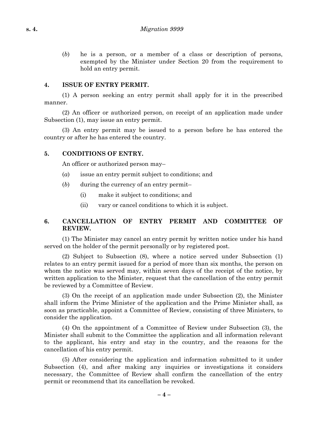(*b*) he is a person, or a member of a class or description of persons, exempted by the Minister under Section 20 from the requirement to hold an entry permit.

### **4. ISSUE OF ENTRY PERMIT.**

(1) A person seeking an entry permit shall apply for it in the prescribed manner.

(2) An officer or authorized person, on receipt of an application made under Subsection (1), may issue an entry permit.

(3) An entry permit may be issued to a person before he has entered the country or after he has entered the country.

### **5. CONDITIONS OF ENTRY.**

An officer or authorized person may–

- (*a*) issue an entry permit subject to conditions; and
- (*b*) during the currency of an entry permit–
	- (i) make it subject to conditions; and
	- (ii) vary or cancel conditions to which it is subject.

# **6. CANCELLATION OF ENTRY PERMIT AND COMMITTEE OF REVIEW.**

(1) The Minister may cancel an entry permit by written notice under his hand served on the holder of the permit personally or by registered post.

(2) Subject to Subsection (8), where a notice served under Subsection (1) relates to an entry permit issued for a period of more than six months, the person on whom the notice was served may, within seven days of the receipt of the notice, by written application to the Minister, request that the cancellation of the entry permit be reviewed by a Committee of Review.

(3) On the receipt of an application made under Subsection (2), the Minister shall inform the Prime Minister of the application and the Prime Minister shall, as soon as practicable, appoint a Committee of Review, consisting of three Ministers, to consider the application.

(4) On the appointment of a Committee of Review under Subsection (3), the Minister shall submit to the Committee the application and all information relevant to the applicant, his entry and stay in the country, and the reasons for the cancellation of his entry permit.

(5) After considering the application and information submitted to it under Subsection (4), and after making any inquiries or investigations it considers necessary, the Committee of Review shall confirm the cancellation of the entry permit or recommend that its cancellation be revoked.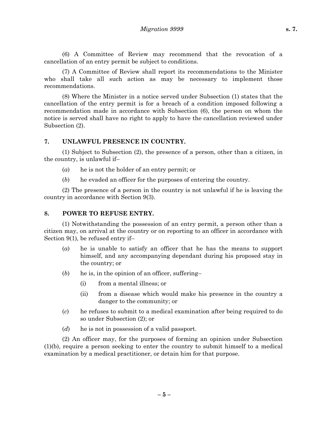(6) A Committee of Review may recommend that the revocation of a cancellation of an entry permit be subject to conditions.

(7) A Committee of Review shall report its recommendations to the Minister who shall take all such action as may be necessary to implement those recommendations.

(8) Where the Minister in a notice served under Subsection (1) states that the cancellation of the entry permit is for a breach of a condition imposed following a recommendation made in accordance with Subsection (6), the person on whom the notice is served shall have no right to apply to have the cancellation reviewed under Subsection (2).

#### **7. UNLAWFUL PRESENCE IN COUNTRY.**

(1) Subject to Subsection (2), the presence of a person, other than a citizen, in the country, is unlawful if–

- (*a*) he is not the holder of an entry permit; or
- (*b*) he evaded an officer for the purposes of entering the country.

(2) The presence of a person in the country is not unlawful if he is leaving the country in accordance with Section 9(3).

#### **8. POWER TO REFUSE ENTRY.**

(1) Notwithstanding the possession of an entry permit, a person other than a citizen may, on arrival at the country or on reporting to an officer in accordance with Section 9(1), be refused entry if–

- (*a*) he is unable to satisfy an officer that he has the means to support himself, and any accompanying dependant during his proposed stay in the country; or
- (*b*) he is, in the opinion of an officer, suffering–
	- (i) from a mental illness; or
	- (ii) from a disease which would make his presence in the country a danger to the community; or
- (*c*) he refuses to submit to a medical examination after being required to do so under Subsection (2); or
- (*d*) he is not in possession of a valid passport.

(2) An officer may, for the purposes of forming an opinion under Subsection (1)(b), require a person seeking to enter the country to submit himself to a medical examination by a medical practitioner, or detain him for that purpose.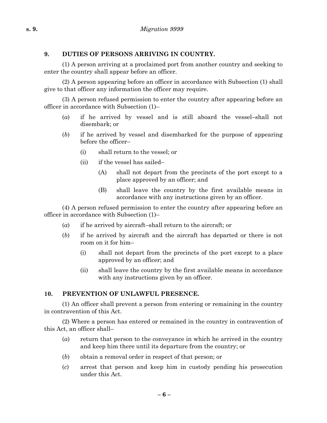# **9. DUTIES OF PERSONS ARRIVING IN COUNTRY.**

(1) A person arriving at a proclaimed port from another country and seeking to enter the country shall appear before an officer.

(2) A person appearing before an officer in accordance with Subsection (1) shall give to that officer any information the officer may require.

(3) A person refused permission to enter the country after appearing before an officer in accordance with Subsection (1)–

- (*a*) if he arrived by vessel and is still aboard the vessel–shall not disembark; or
- (*b*) if he arrived by vessel and disembarked for the purpose of appearing before the officer–
	- (i) shall return to the vessel; or
	- (ii) if the vessel has sailed–
		- (A) shall not depart from the precincts of the port except to a place approved by an officer; and
		- (B) shall leave the country by the first available means in accordance with any instructions given by an officer.

(4) A person refused permission to enter the country after appearing before an officer in accordance with Subsection (1)–

- (*a*) if he arrived by aircraft–shall return to the aircraft; or
- (*b*) if he arrived by aircraft and the aircraft has departed or there is not room on it for him–
	- (i) shall not depart from the precincts of the port except to a place approved by an officer; and
	- (ii) shall leave the country by the first available means in accordance with any instructions given by an officer.

# **10. PREVENTION OF UNLAWFUL PRESENCE.**

(1) An officer shall prevent a person from entering or remaining in the country in contravention of this Act.

(2) Where a person has entered or remained in the country in contravention of this Act, an officer shall–

- (*a*) return that person to the conveyance in which he arrived in the country and keep him there until its departure from the country; or
- (*b*) obtain a removal order in respect of that person; or
- (*c*) arrest that person and keep him in custody pending his prosecution under this Act.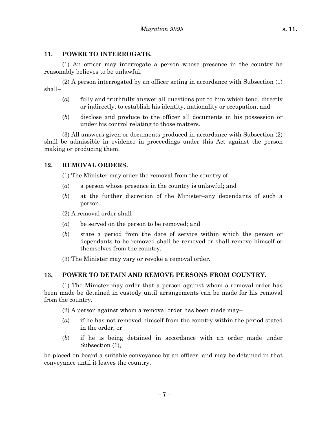### **11. POWER TO INTERROGATE.**

(1) An officer may interrogate a person whose presence in the country he reasonably believes to be unlawful.

(2) A person interrogated by an officer acting in accordance with Subsection (1) shall–

- (*a*) fully and truthfully answer all questions put to him which tend, directly or indirectly, to establish his identity, nationality or occupation; and
- (*b*) disclose and produce to the officer all documents in his possession or under his control relating to those matters.

(3) All answers given or documents produced in accordance with Subsection (2) shall be admissible in evidence in proceedings under this Act against the person making or producing them.

# **12. REMOVAL ORDERS.**

(1) The Minister may order the removal from the country of–

- (*a*) a person whose presence in the country is unlawful; and
- (*b*) at the further discretion of the Minister–any dependants of such a person.

(2) A removal order shall–

- (*a*) be served on the person to be removed; and
- (*b*) state a period from the date of service within which the person or dependants to be removed shall be removed or shall remove himself or themselves from the country.
- (3) The Minister may vary or revoke a removal order.

# **13. POWER TO DETAIN AND REMOVE PERSONS FROM COUNTRY.**

(1) The Minister may order that a person against whom a removal order has been made be detained in custody until arrangements can be made for his removal from the country.

(2) A person against whom a removal order has been made may–

- (*a*) if he has not removed himself from the country within the period stated in the order; or
- (*b*) if he is being detained in accordance with an order made under Subsection (1),

be placed on board a suitable conveyance by an officer, and may be detained in that conveyance until it leaves the country.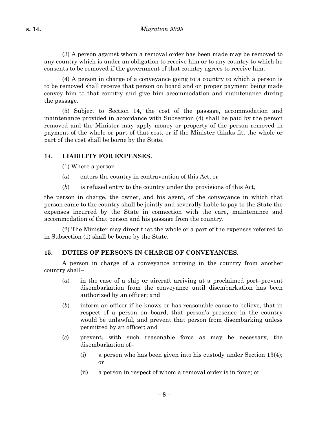(3) A person against whom a removal order has been made may be removed to any country which is under an obligation to receive him or to any country to which he consents to be removed if the government of that country agrees to receive him.

(4) A person in charge of a conveyance going to a country to which a person is to be removed shall receive that person on board and on proper payment being made convey him to that country and give him accommodation and maintenance during the passage.

(5) Subject to Section 14, the cost of the passage, accommodation and maintenance provided in accordance with Subsection (4) shall be paid by the person removed and the Minister may apply money or property of the person removed in payment of the whole or part of that cost, or if the Minister thinks fit, the whole or part of the cost shall be borne by the State.

# **14. LIABILITY FOR EXPENSES.**

- (1) Where a person–
- (*a*) enters the country in contravention of this Act; or
- (*b*) is refused entry to the country under the provisions of this Act,

the person in charge, the owner, and his agent, of the conveyance in which that person came to the country shall be jointly and severally liable to pay to the State the expenses incurred by the State in connection with the care, maintenance and accommodation of that person and his passage from the country.

(2) The Minister may direct that the whole or a part of the expenses referred to in Subsection (1) shall be borne by the State.

# **15. DUTIES OF PERSONS IN CHARGE OF CONVEYANCES.**

A person in charge of a conveyance arriving in the country from another country shall–

- (*a*) in the case of a ship or aircraft arriving at a proclaimed port–prevent disembarkation from the conveyance until disembarkation has been authorized by an officer; and
- (*b*) inform an officer if he knows or has reasonable cause to believe, that in respect of a person on board, that person's presence in the country would be unlawful, and prevent that person from disembarking unless permitted by an officer; and
- (*c*) prevent, with such reasonable force as may be necessary, the disembarkation of–
	- (i) a person who has been given into his custody under Section 13(4); or
	- (ii) a person in respect of whom a removal order is in force; or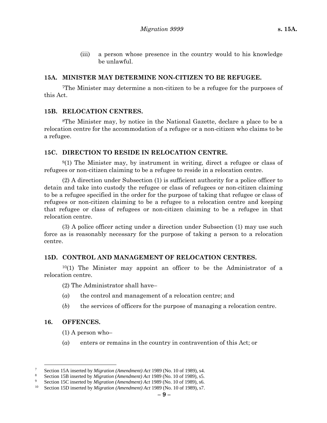(iii) a person whose presence in the country would to his knowledge be unlawful.

#### **15A. MINISTER MAY DETERMINE NON-CITIZEN TO BE REFUGEE.**

7The Minister may determine a non-citizen to be a refugee for the purposes of this Act.

### **15B. RELOCATION CENTRES.**

8The Minister may, by notice in the National Gazette, declare a place to be a relocation centre for the accommodation of a refugee or a non-citizen who claims to be a refugee.

### **15C. DIRECTION TO RESIDE IN RELOCATION CENTRE.**

9(1) The Minister may, by instrument in writing, direct a refugee or class of refugees or non-citizen claiming to be a refugee to reside in a relocation centre.

(2) A direction under Subsection (1) is sufficient authority for a police officer to detain and take into custody the refugee or class of refugees or non-citizen claiming to be a refugee specified in the order for the purpose of taking that refugee or class of refugees or non-citizen claiming to be a refugee to a relocation centre and keeping that refugee or class of refugees or non-citizen claiming to be a refugee in that relocation centre.

(3) A police officer acting under a direction under Subsection (1) may use such force as is reasonably necessary for the purpose of taking a person to a relocation centre.

#### **15D. CONTROL AND MANAGEMENT OF RELOCATION CENTRES.**

 $10(1)$  The Minister may appoint an officer to be the Administrator of a relocation centre.

(2) The Administrator shall have–

- (*a*) the control and management of a relocation centre; and
- (*b*) the services of officers for the purpose of managing a relocation centre.

#### **16. OFFENCES.**

 $\overline{a}$ 

- (1) A person who–
- (*a*) enters or remains in the country in contravention of this Act; or

<sup>7</sup> Section 15A inserted by *Migration (Amendment) Act* 1989 (No. 10 of 1989), s4.

<sup>8</sup> Section 15B inserted by *Migration (Amendment) Act* 1989 (No. 10 of 1989), s5.

<sup>9</sup> Section 15C inserted by *Migration (Amendment) Act* 1989 (No. 10 of 1989), s6.

<sup>10</sup> Section 15D inserted by *Migration (Amendment) Act* 1989 (No. 10 of 1989), s7.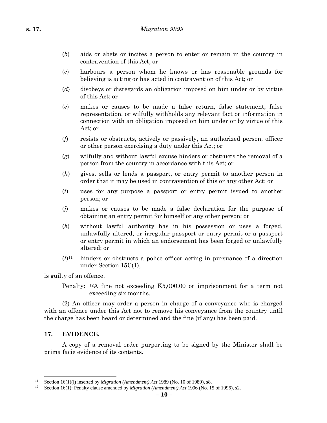- (*b*) aids or abets or incites a person to enter or remain in the country in contravention of this Act; or
- (*c*) harbours a person whom he knows or has reasonable grounds for believing is acting or has acted in contravention of this Act; or
- (*d*) disobeys or disregards an obligation imposed on him under or by virtue of this Act; or
- (*e*) makes or causes to be made a false return, false statement, false representation, or wilfully withholds any relevant fact or information in connection with an obligation imposed on him under or by virtue of this Act; or
- (*f*) resists or obstructs, actively or passively, an authorized person, officer or other person exercising a duty under this Act; or
- (*g*) wilfully and without lawful excuse hinders or obstructs the removal of a person from the country in accordance with this Act; or
- (*h*) gives, sells or lends a passport, or entry permit to another person in order that it may be used in contravention of this or any other Act; or
- (*i*) uses for any purpose a passport or entry permit issued to another person; or
- (*j*) makes or causes to be made a false declaration for the purpose of obtaining an entry permit for himself or any other person; or
- (*k*) without lawful authority has in his possession or uses a forged, unlawfully altered, or irregular passport or entry permit or a passport or entry permit in which an endorsement has been forged or unlawfully altered; or
- $(l)^{11}$  hinders or obstructs a police officer acting in pursuance of a direction under Section 15C(1),

is guilty of an offence.

(2) An officer may order a person in charge of a conveyance who is charged with an offence under this Act not to remove his conveyance from the country until the charge has been heard or determined and the fine (if any) has been paid.

#### **17. EVIDENCE.**

 $\overline{a}$ 

A copy of a removal order purporting to be signed by the Minister shall be prima facie evidence of its contents.

Penalty: 12A fine not exceeding K5,000.00 or imprisonment for a term not exceeding six months.

<sup>11</sup> Section 16(1)(l) inserted by *Migration (Amendment) Act* 1989 (No. 10 of 1989), s8.

<sup>12</sup> Section 16(1): Penalty clause amended by *Migration (Amendment) Act* 1996 (No. 15 of 1996), s2.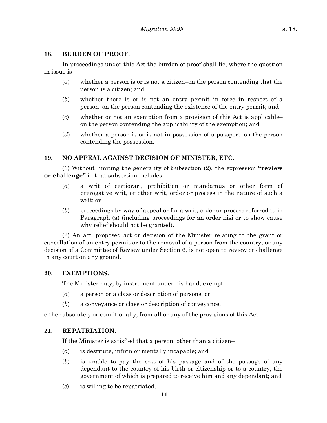### **18. BURDEN OF PROOF.**

In proceedings under this Act the burden of proof shall lie, where the question in issue is–

- (*a*) whether a person is or is not a citizen–on the person contending that the person is a citizen; and
- (*b*) whether there is or is not an entry permit in force in respect of a person–on the person contending the existence of the entry permit; and
- (*c*) whether or not an exemption from a provision of this Act is applicable– on the person contending the applicability of the exemption; and
- (*d*) whether a person is or is not in possession of a passport–on the person contending the possession.

### **19. NO APPEAL AGAINST DECISION OF MINISTER, ETC.**

(1) Without limiting the generality of Subsection (2), the expression **"review or challenge"** in that subsection includes–

- (*a*) a writ of certiorari, prohibition or mandamus or other form of prerogative writ, or other writ, order or process in the nature of such a writ; or
- (*b*) proceedings by way of appeal or for a writ, order or process referred to in Paragraph (a) (including proceedings for an order nisi or to show cause why relief should not be granted).

(2) An act, proposed act or decision of the Minister relating to the grant or cancellation of an entry permit or to the removal of a person from the country, or any decision of a Committee of Review under Section 6, is not open to review or challenge in any court on any ground.

#### **20. EXEMPTIONS.**

The Minister may, by instrument under his hand, exempt–

- (*a*) a person or a class or description of persons; or
- (*b*) a conveyance or class or description of conveyance,

either absolutely or conditionally, from all or any of the provisions of this Act.

#### **21. REPATRIATION.**

If the Minister is satisfied that a person, other than a citizen–

- (*a*) is destitute, infirm or mentally incapable; and
- (*b*) is unable to pay the cost of his passage and of the passage of any dependant to the country of his birth or citizenship or to a country, the government of which is prepared to receive him and any dependant; and
- (*c*) is willing to be repatriated,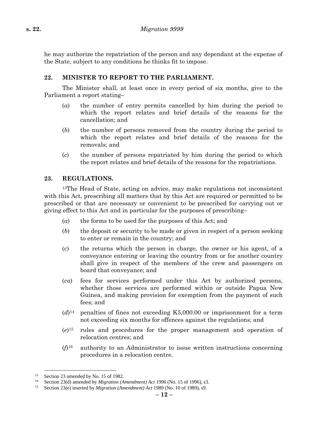he may authorize the repatriation of the person and any dependant at the expense of the State, subject to any conditions he thinks fit to impose.

# **22. MINISTER TO REPORT TO THE PARLIAMENT.**

The Minister shall, at least once in every period of six months, give to the Parliament a report stating–

- (*a*) the number of entry permits cancelled by him during the period to which the report relates and brief details of the reasons for the cancellation; and
- (*b*) the number of persons removed from the country during the period to which the report relates and brief details of the reasons for the removals; and
- (*c*) the number of persons repatriated by him during the period to which the report relates and brief details of the reasons for the repatriations.

# **23. REGULATIONS.**

<sup>13</sup>The Head of State, acting on advice, may make regulations not inconsistent with this Act, prescribing all matters that by this Act are required or permitted to be prescribed or that are necessary or convenient to be prescribed for carrying out or giving effect to this Act and in particular for the purposes of prescribing–

- (*a*) the forms to be used for the purposes of this Act; and
- (*b*) the deposit or security to be made or given in respect of a person seeking to enter or remain in the country; and
- (*c*) the returns which the person in charge, the owner or his agent, of a conveyance entering or leaving the country from or for another country shall give in respect of the members of the crew and passengers on board that conveyance; and
- (*ca*) fees for services performed under this Act by authorized persons, whether those services are performed within or outside Papua New Guinea, and making provision for exemption from the payment of such fees; and
- (*d*)14 penalties of fines not exceeding K5,000.00 or imprisonment for a term not exceeding six months for offences against the regulations; and
- (*e*)15 rules and procedures for the proper management and operation of relocation centres; and
- (*f*)16 authority to an Administrator to issue written instructions concerning procedures in a relocation centre.

 $\overline{a}$ 

<sup>&</sup>lt;sup>13</sup> Section 23 amended by No. 15 of 1982.

<sup>14</sup> Section 23(d) amended by *Migration (Amendment) Act* 1996 (No. 15 of 1996), s3.

<sup>15</sup> Section 23(e) inserted by *Migration (Amendment) Act* 1989 (No. 10 of 1989), s9.